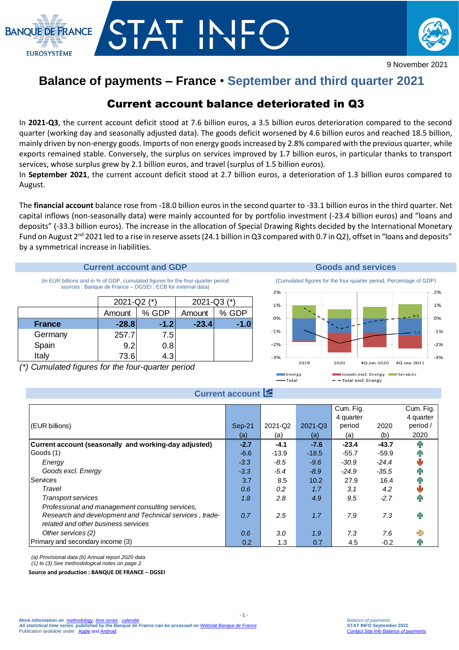



## **Balance of payments – France** • **September and third quarter 2021**

## Current account balance deteriorated in Q3

In **2021-Q3**, the current account deficit stood at 7.6 billion euros, a 3.5 billion euros deterioration compared to the second quarter (working day and seasonally adjusted data). The goods deficit worsened by 4.6 billion euros and reached 18.5 billion, mainly driven by non-energy goods. Imports of non energy goods increased by 2.8% compared with the previous quarter, while exports remained stable. Conversely, the surplus on services improved by 1.7 billion euros, in particular thanks to transport services, whose surplus grew by 2.1 billion euros, and travel (surplus of 1.5 billion euros).

In **September 2021**, the current account deficit stood at 2.7 billion euros, a deterioration of 1.3 billion euros compared to August.

The **financial account** balance rose from -18.0 billion euros in the second quarter to -33.1 billion euros in the third quarter. Net capital inflows (non-seasonally data) were mainly accounted for by portfolio investment (-23.4 billion euros) and "loans and deposits" (-33.3 billion euros). The increase in the allocation of Special Drawing Rights decided by the International Monetary Fund on August  $2^{nd}$  2021 led to a rise in reserve assets (24.1 billion in Q3 compared with 0.7 in Q2), offset in "loans and deposits" by a symmetrical increase in liabilities.

#### **Current account and GDP Goods and services**

(in EUR billions and in % of GDP, cumulated figures for the four-quarter period sources : Banque de France – DGSEI ; ECB for external data)

|               | 2021-Q2 $(*)$ |         | 2021-Q3 $(*)$ |         |  |
|---------------|---------------|---------|---------------|---------|--|
|               | Amount        | $%$ GDP | Amount        | $%$ GDP |  |
| <b>France</b> | $-28.8$       | $-1.2$  | $-23.4$       | -1.0    |  |
| Germany       | 257.7         | 7.5     |               |         |  |
| Spain         | 9.2           | 0.8     |               |         |  |
| Italy         | 73.6          | 4.3     |               |         |  |

*(\*) Cumulated figures for the four-quarter period*



#### **Current account**

|                                                         |          |                  |         | Cum. Fig.<br>4 quarter |         | Cum. Fig.<br>4 quarter |
|---------------------------------------------------------|----------|------------------|---------|------------------------|---------|------------------------|
| (EUR billions)                                          | $Sep-21$ | 2021-Q2          | 2021-Q3 | period                 | 2020    | period /               |
|                                                         | (a)      | (a)              | (a)     | (a)                    | (b)     | 2020                   |
| Current account (seasonally and working-day adjusted)   | $-2.7$   | $-4.1$           | $-7.6$  | $-23.4$                | $-43.7$ |                        |
| Goods (1)                                               | $-6.6$   | $-13.9$          | $-18.5$ | $-55.7$                | $-59.9$ |                        |
| Energy                                                  | $-3.3$   | $-8.5$           | $-9.6$  | $-30.9$                | $-24.4$ |                        |
| Goods excl. Energy                                      | $-3.3$   | $-5.4$           | $-8.9$  | $-24.9$                | $-35.5$ |                        |
| Services                                                | 3.7      | 8.5              | 10.2    | 27.9                   | 16.4    |                        |
| Travel                                                  | 0.6      | 0.2              | 1.7     | 3.1                    | 4.2     |                        |
| <b>Transport services</b>                               | 1.8      | $2.8^{\circ}$    | 4.9     | 9.5                    | $-2.7$  | Йŕ                     |
| Professional and management consulting services,        |          |                  |         |                        |         |                        |
| Research and development and Technical services, trade- | 0.7      | 2.5              | 1.7     | 7.9                    | 7.3     | ЙĤ                     |
| related and other business services                     |          |                  |         |                        |         |                        |
| Other services (2)                                      | 0.6      | 3.0 <sub>2</sub> | 1.9     | 7.3                    | 7.6     |                        |
| Primary and secondary income (3)                        | 0.2      | 1.3              | 0.7     | 4.5                    | $-0.2$  |                        |

 $-1$ .

*(a) Provisional data (b) Annual report 2020 data* 

*(1) to (3) See methodological notes on page 2.*

**Source and production : BANQUE DE FRANCE – DGSEI**